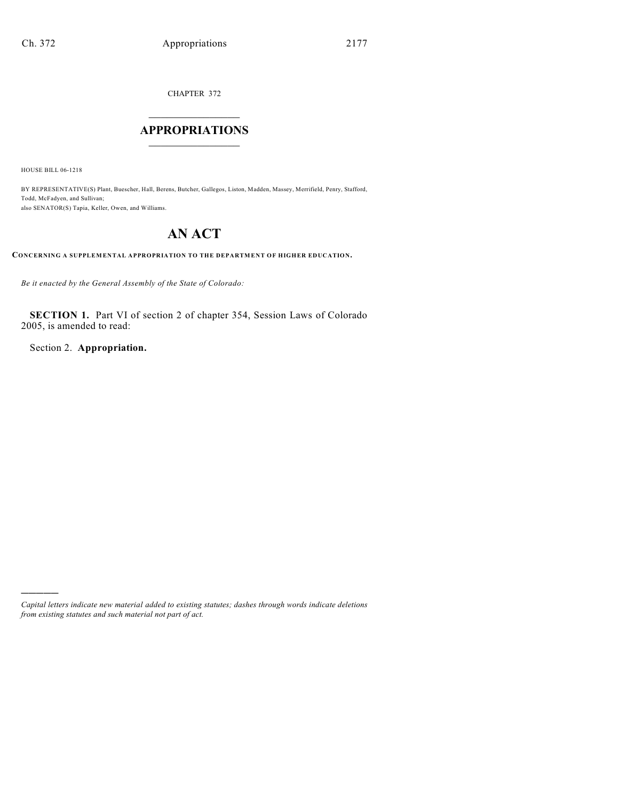CHAPTER 372

## $\mathcal{L}_\text{max}$  . The set of the set of the set of the set of the set of the set of the set of the set of the set of the set of the set of the set of the set of the set of the set of the set of the set of the set of the set **APPROPRIATIONS**  $\_$   $\_$   $\_$   $\_$   $\_$   $\_$   $\_$   $\_$

HOUSE BILL 06-1218

)))))

BY REPRESENTATIVE(S) Plant, Buescher, Hall, Berens, Butcher, Gallegos, Liston, Madden, Massey, Merrifield, Penry, Stafford, Todd, McFadyen, and Sullivan; also SENATOR(S) Tapia, Keller, Owen, and Williams.

# **AN ACT**

**CONCERNING A SUPPLEMENTAL APPROPRIATION TO THE DEPARTMENT OF HIGHER EDUCATION.**

*Be it enacted by the General Assembly of the State of Colorado:*

**SECTION 1.** Part VI of section 2 of chapter 354, Session Laws of Colorado 2005, is amended to read:

Section 2. **Appropriation.**

*Capital letters indicate new material added to existing statutes; dashes through words indicate deletions from existing statutes and such material not part of act.*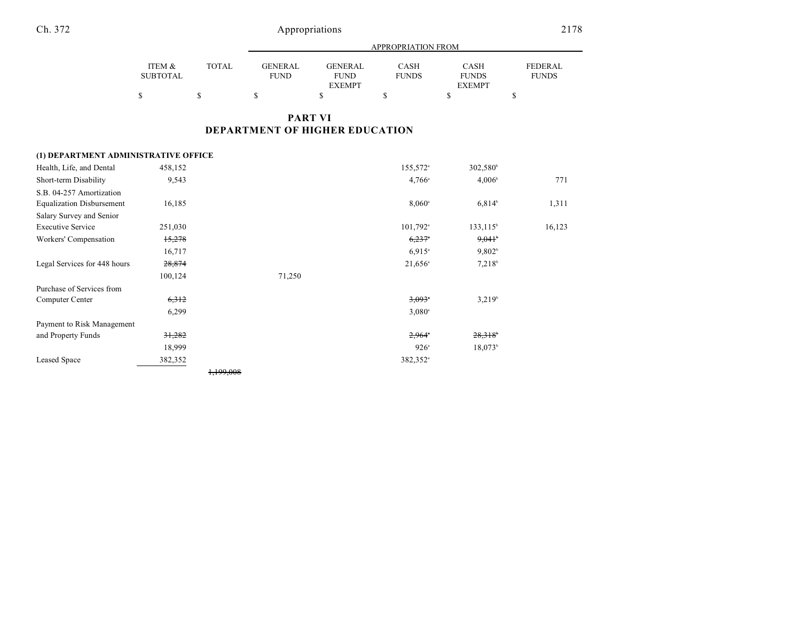|                           |              |                        |                        | <b>APPROPRIATION FROM</b> |                      |                                |
|---------------------------|--------------|------------------------|------------------------|---------------------------|----------------------|--------------------------------|
| ITEM &<br><b>SUBTOTAL</b> | <b>TOTAL</b> | GENERAL<br><b>FUND</b> | GENERAL<br><b>FUND</b> | CASH<br><b>FUNDS</b>      | CASH<br><b>FUNDS</b> | <b>FEDERAL</b><br><b>FUNDS</b> |
|                           |              |                        | <b>EXEMPT</b>          |                           | <b>EXEMPT</b>        |                                |
|                           |              |                        |                        |                           |                      |                                |

## **PART VI DEPARTMENT OF HIGHER EDUCATION**

## **(1) DEPARTMENT ADMINISTRATIVE OFFICE**

| Health, Life, and Dental         | 458,152 |                      |        | 155,572 <sup>a</sup>   | 302,580 <sup>b</sup>  |        |
|----------------------------------|---------|----------------------|--------|------------------------|-----------------------|--------|
| Short-term Disability            | 9,543   |                      |        | $4,766^{\circ}$        | 4,006 <sup>b</sup>    | 771    |
| S.B. 04-257 Amortization         |         |                      |        |                        |                       |        |
| <b>Equalization Disbursement</b> | 16,185  |                      |        | $8,060^{\circ}$        | $6,814^{b}$           | 1,311  |
| Salary Survey and Senior         |         |                      |        |                        |                       |        |
| <b>Executive Service</b>         | 251,030 |                      |        | $101,792$ <sup>a</sup> | $133, 115^{\circ}$    | 16,123 |
| Workers' Compensation            | 15,278  |                      |        | $6,237$ <sup>*</sup>   | $9,041$ <sup>b</sup>  |        |
|                                  | 16,717  |                      |        | $6,915$ <sup>a</sup>   | 9,802 <sup>b</sup>    |        |
| Legal Services for 448 hours     | 28,874  |                      |        | $21,656^{\circ}$       | $7,218^b$             |        |
|                                  | 100,124 |                      | 71,250 |                        |                       |        |
| Purchase of Services from        |         |                      |        |                        |                       |        |
| Computer Center                  | 6,312   |                      |        | $3,093$ <sup>*</sup>   | $3,219^b$             |        |
|                                  | 6,299   |                      |        | $3,080^{\circ}$        |                       |        |
| Payment to Risk Management       |         |                      |        |                        |                       |        |
| and Property Funds               | 31,282  |                      |        | $2,964$ <sup>*</sup>   | $28,318$ <sup>6</sup> |        |
|                                  | 18,999  |                      |        | $926^{\circ}$          | 18,073 <sup>b</sup>   |        |
| Leased Space                     | 382,352 |                      |        | 382,352 <sup>a</sup>   |                       |        |
|                                  |         | <del>1.199.008</del> |        |                        |                       |        |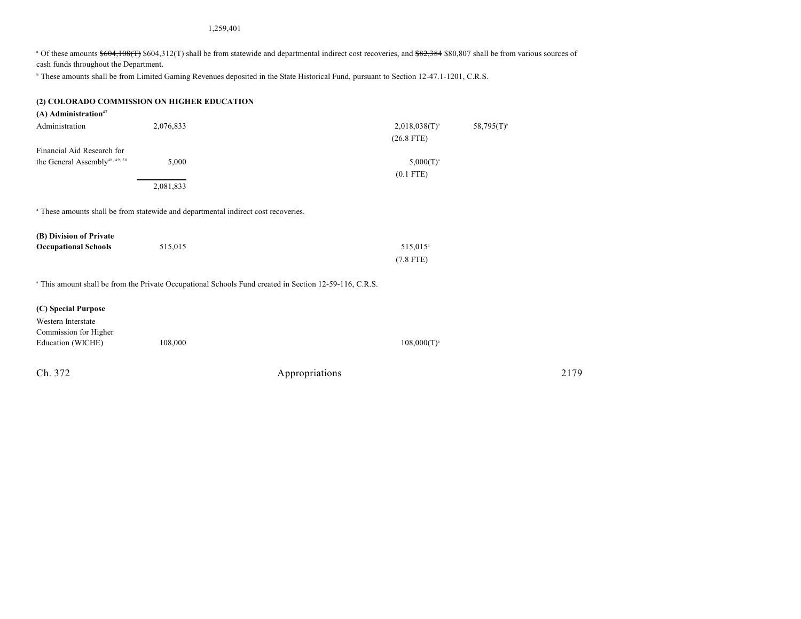1,259,401

<sup>a</sup> Of these amounts \$604,108(T) \$604,312(T) shall be from statewide and departmental indirect cost recoveries, and \$82,384 \$80,807 shall be from various sources of cash funds throughout the Department.

<sup>b</sup> These amounts shall be from Limited Gaming Revenues deposited in the State Historical Fund, pursuant to Section 12-47.1-1201, C.R.S.

## **(2) COLORADO COMMISSION ON HIGHER EDUCATION**

| $(A)$ Administration <sup>47</sup>                                                            |           |                                                                                                                   |
|-----------------------------------------------------------------------------------------------|-----------|-------------------------------------------------------------------------------------------------------------------|
| Administration                                                                                | 2,076,833 | $2,018,038(T)^{a}$<br>$58,795(T)^{a}$                                                                             |
|                                                                                               |           | $(26.8$ FTE)                                                                                                      |
| Financial Aid Research for                                                                    |           |                                                                                                                   |
| the General Assembly <sup>48, 49, 50</sup>                                                    | 5,000     | $5,000(T)^{a}$                                                                                                    |
|                                                                                               |           | $(0.1$ FTE)                                                                                                       |
|                                                                                               | 2,081,833 |                                                                                                                   |
|                                                                                               |           |                                                                                                                   |
| <sup>a</sup> These amounts shall be from statewide and departmental indirect cost recoveries. |           |                                                                                                                   |
|                                                                                               |           |                                                                                                                   |
| (B) Division of Private                                                                       |           |                                                                                                                   |
| <b>Occupational Schools</b>                                                                   | 515,015   | 515,015 <sup>a</sup>                                                                                              |
|                                                                                               |           | $(7.8$ FTE)                                                                                                       |
|                                                                                               |           |                                                                                                                   |
|                                                                                               |           | <sup>a</sup> This amount shall be from the Private Occupational Schools Fund created in Section 12-59-116, C.R.S. |
|                                                                                               |           |                                                                                                                   |
| (C) Special Purpose                                                                           |           |                                                                                                                   |

| Western Interstate    |         |                  |
|-----------------------|---------|------------------|
| Commission for Higher |         |                  |
| Education (WICHE)     | 108,000 | $108,000(T)^{a}$ |
|                       |         |                  |

| Appropriations | 2179 |
|----------------|------|
|                |      |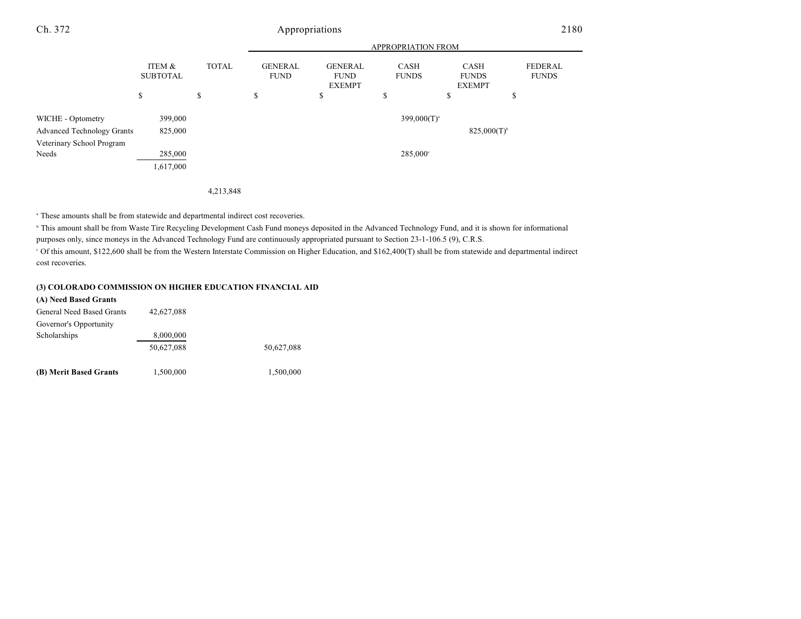#### APPROPRIATION FROM ITEM & SUBTOTAL TOTAL GENERAL FUND GENERAL FUND EXEMPT CASH FUNDS CASH FUNDS EXEMPT FEDERAL FUNDS  $\begin{array}{ccccccccccc} \texttt{S} & \texttt{S} & \texttt{S} & \texttt{S} & \texttt{S} & \texttt{S} & \texttt{S} & \texttt{S} & \texttt{S} & \texttt{S} & \texttt{S} & \texttt{S} & \texttt{S} & \texttt{S} & \texttt{S} & \texttt{S} & \texttt{S} & \texttt{S} & \texttt{S} & \texttt{S} & \texttt{S} & \texttt{S} & \texttt{S} & \texttt{S} & \texttt{S} & \texttt{S} & \texttt{S} & \texttt{S} & \texttt{S} & \texttt{S} & \$ Ch. 372 Appropriations 2180 WICHE - Optometry 399,000 399,000 399,000 399,000  $399,000(T)^{a}$ Advanced Technology Grants 825,000 825,000 825,000 825,000 825,000 825,000 825,000 825,000 825,000 825,000 825,000  $\beta$ Veterinary School Program Needs 285,000  $285,000$ 1,617,000

#### 4,213,848

<sup>a</sup> These amounts shall be from statewide and departmental indirect cost recoveries.

<sup>b</sup> This amount shall be from Waste Tire Recycling Development Cash Fund moneys deposited in the Advanced Technology Fund, and it is shown for informational purposes only, since moneys in the Advanced Technology Fund are continuously appropriated pursuant to Section 23-1-106.5 (9), C.R.S.

 Of this amount, \$122,600 shall be from the Western Interstate Commission on Higher Education, and \$162,400(T) shall be from statewide and departmental indirect <sup>c</sup> cost recoveries.

### **(3) COLORADO COMMISSION ON HIGHER EDUCATION FINANCIAL AID**

| (A) Need Based Grants     |            |            |
|---------------------------|------------|------------|
| General Need Based Grants | 42,627,088 |            |
| Governor's Opportunity    |            |            |
| Scholarships              | 8,000,000  |            |
|                           | 50.627.088 | 50.627.088 |
| (B) Merit Based Grants    | 1,500,000  | 1,500,000  |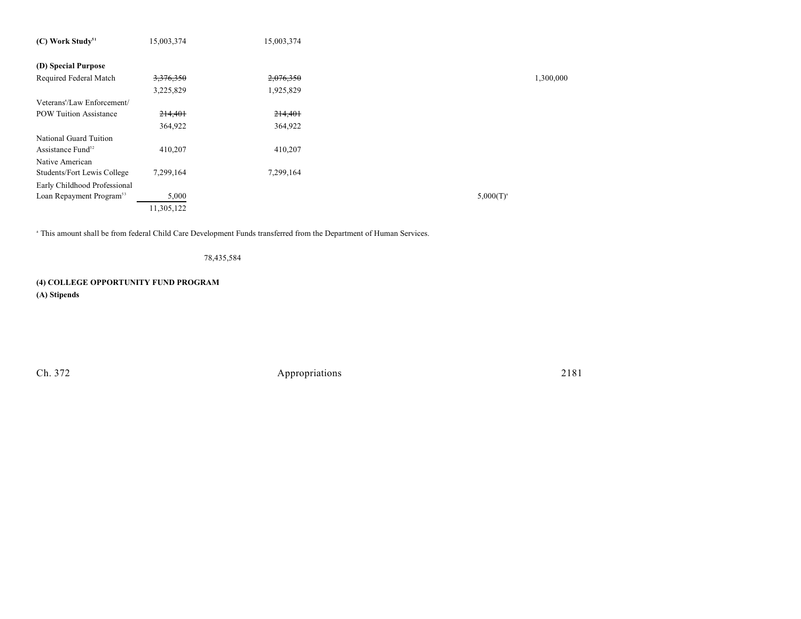| $(C)$ Work Study <sup>51</sup>       | 15,003,374           | 15,003,374 |                |           |
|--------------------------------------|----------------------|------------|----------------|-----------|
|                                      |                      |            |                |           |
| (D) Special Purpose                  |                      |            |                |           |
| Required Federal Match               | <del>3,376,350</del> | 2,076,350  |                | 1,300,000 |
|                                      | 3,225,829            | 1,925,829  |                |           |
| Veterans'/Law Enforcement/           |                      |            |                |           |
| <b>POW Tuition Assistance</b>        | 214,401              | 214,401    |                |           |
|                                      | 364,922              | 364,922    |                |           |
| National Guard Tuition               |                      |            |                |           |
| Assistance Fund <sup>52</sup>        | 410,207              | 410,207    |                |           |
| Native American                      |                      |            |                |           |
| Students/Fort Lewis College          | 7,299,164            | 7,299,164  |                |           |
| Early Childhood Professional         |                      |            |                |           |
| Loan Repayment Program <sup>53</sup> | 5,000                |            | $5,000(T)^{a}$ |           |
|                                      | 11,305,122           |            |                |           |

<sup>a</sup> This amount shall be from federal Child Care Development Funds transferred from the Department of Human Services.

78,435,584

## **(4) COLLEGE OPPORTUNITY FUND PROGRAM**

**(A) Stipends**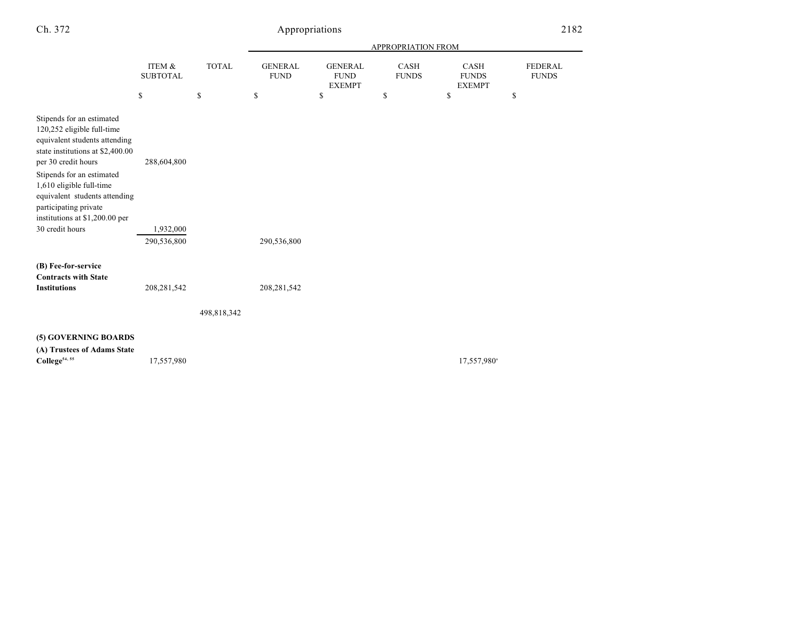|                                                                                                                                                                                                                                                                                                          |                           |              | APPROPRIATION FROM            |                                                |                             |                                              |                                |
|----------------------------------------------------------------------------------------------------------------------------------------------------------------------------------------------------------------------------------------------------------------------------------------------------------|---------------------------|--------------|-------------------------------|------------------------------------------------|-----------------------------|----------------------------------------------|--------------------------------|
|                                                                                                                                                                                                                                                                                                          | ITEM &<br><b>SUBTOTAL</b> | <b>TOTAL</b> | <b>GENERAL</b><br><b>FUND</b> | <b>GENERAL</b><br><b>FUND</b><br><b>EXEMPT</b> | <b>CASH</b><br><b>FUNDS</b> | <b>CASH</b><br><b>FUNDS</b><br><b>EXEMPT</b> | <b>FEDERAL</b><br><b>FUNDS</b> |
|                                                                                                                                                                                                                                                                                                          | \$                        | \$           | \$                            | \$                                             | \$                          | \$                                           | \$                             |
| Stipends for an estimated<br>120,252 eligible full-time<br>equivalent students attending<br>state institutions at \$2,400.00<br>per 30 credit hours<br>Stipends for an estimated<br>1,610 eligible full-time<br>equivalent students attending<br>participating private<br>institutions at \$1,200.00 per | 288,604,800               |              |                               |                                                |                             |                                              |                                |
| 30 credit hours                                                                                                                                                                                                                                                                                          | 1,932,000                 |              |                               |                                                |                             |                                              |                                |
|                                                                                                                                                                                                                                                                                                          | 290,536,800               |              | 290,536,800                   |                                                |                             |                                              |                                |
| (B) Fee-for-service<br><b>Contracts with State</b><br><b>Institutions</b>                                                                                                                                                                                                                                | 208, 281, 542             | 498,818,342  | 208, 281, 542                 |                                                |                             |                                              |                                |
| (5) GOVERNING BOARDS<br>(A) Trustees of Adams State<br>College <sup>54, 55</sup>                                                                                                                                                                                                                         | 17,557,980                |              |                               |                                                |                             | 17,557,980 <sup>a</sup>                      |                                |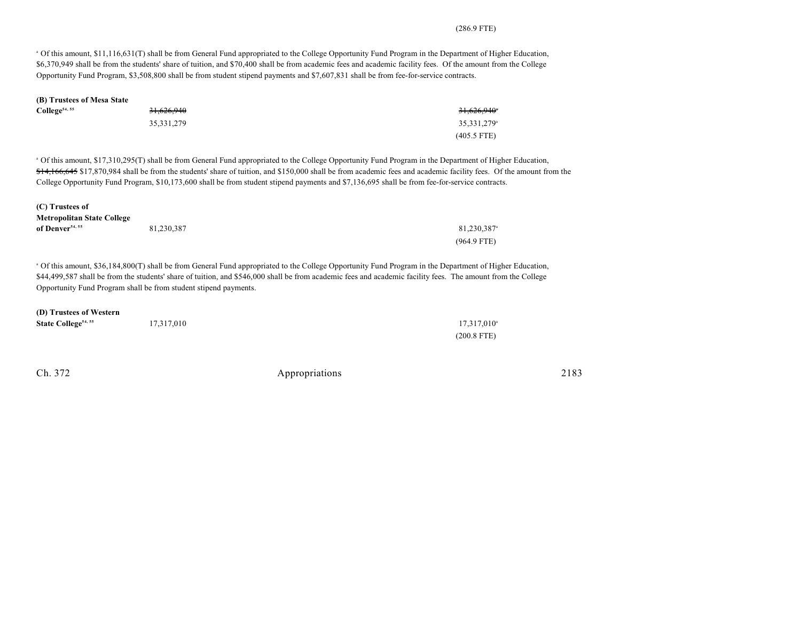## (286.9 FTE)

 Of this amount, \$11,116,631(T) shall be from General Fund appropriated to the College Opportunity Fund Program in the Department of Higher Education, <sup>a</sup> \$6,370,949 shall be from the students' share of tuition, and \$70,400 shall be from academic fees and academic facility fees. Of the amount from the College Opportunity Fund Program, \$3,508,800 shall be from student stipend payments and \$7,607,831 shall be from fee-for-service contracts.

| (B) Trustees of Mesa State                                                          |                                                                  |                                                                                                                                                                                                                                                                                                                                                                                                                                                                                               |
|-------------------------------------------------------------------------------------|------------------------------------------------------------------|-----------------------------------------------------------------------------------------------------------------------------------------------------------------------------------------------------------------------------------------------------------------------------------------------------------------------------------------------------------------------------------------------------------------------------------------------------------------------------------------------|
| College <sup>54, 55</sup>                                                           | 31,626,940                                                       | 31,626,940                                                                                                                                                                                                                                                                                                                                                                                                                                                                                    |
|                                                                                     | 35, 331, 279                                                     | 35,331,279 <sup>a</sup>                                                                                                                                                                                                                                                                                                                                                                                                                                                                       |
|                                                                                     |                                                                  | $(405.5$ FTE)                                                                                                                                                                                                                                                                                                                                                                                                                                                                                 |
|                                                                                     |                                                                  | <sup>a</sup> Of this amount, \$17,310,295(T) shall be from General Fund appropriated to the College Opportunity Fund Program in the Department of Higher Education,<br>\$14,166,645 \$17,870,984 shall be from the students' share of tuition, and \$150,000 shall be from academic fees and academic facility fees. Of the amount from the<br>College Opportunity Fund Program, \$10,173,600 shall be from student stipend payments and \$7,136,695 shall be from fee-for-service contracts. |
| (C) Trustees of<br><b>Metropolitan State College</b><br>of Denver <sup>54, 55</sup> | 81,230,387                                                       | 81,230,387 <sup>a</sup>                                                                                                                                                                                                                                                                                                                                                                                                                                                                       |
|                                                                                     |                                                                  | $(964.9$ FTE)                                                                                                                                                                                                                                                                                                                                                                                                                                                                                 |
|                                                                                     | Opportunity Fund Program shall be from student stipend payments. | <sup>a</sup> Of this amount, \$36,184,800(T) shall be from General Fund appropriated to the College Opportunity Fund Program in the Department of Higher Education,<br>\$44,499,587 shall be from the students' share of tuition, and \$546,000 shall be from academic fees and academic facility fees. The amount from the College                                                                                                                                                           |
| (D) Trustees of Western<br>State College <sup>54, 55</sup>                          | 17,317,010                                                       | $17,317,010^{\circ}$<br>$(200.8$ FTE)                                                                                                                                                                                                                                                                                                                                                                                                                                                         |
|                                                                                     |                                                                  |                                                                                                                                                                                                                                                                                                                                                                                                                                                                                               |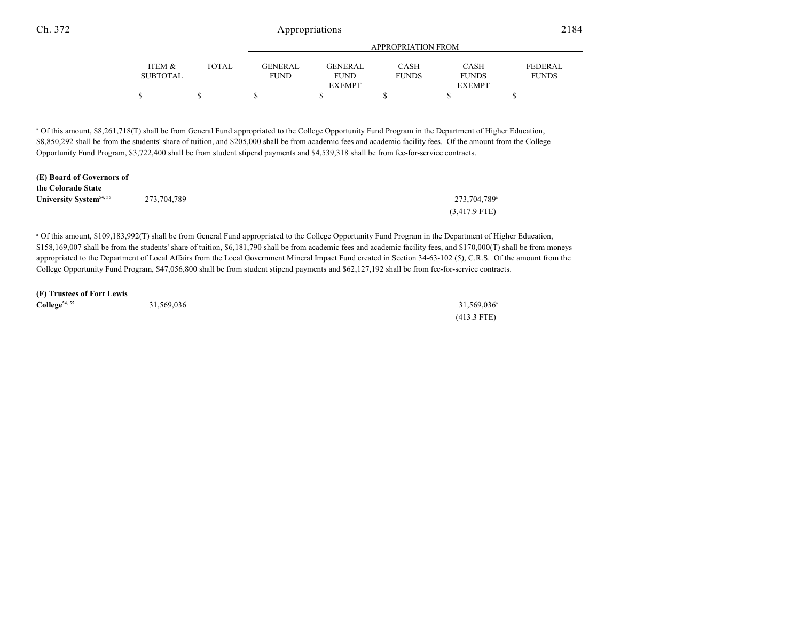|                 |       | <b>APPROPRIATION FROM</b> |               |              |               |              |  |
|-----------------|-------|---------------------------|---------------|--------------|---------------|--------------|--|
| ITEM &          | TOTAL | <b>GENERAL</b>            | GENERAL       | CASH         | CASH          | FEDERAL      |  |
| <b>SUBTOTAL</b> |       | <b>FUND</b>               | <b>FUND</b>   | <b>FUNDS</b> | <b>FUNDS</b>  | <b>FUNDS</b> |  |
|                 |       |                           | <b>EXEMPT</b> |              | <b>EXEMPT</b> |              |  |
|                 |       |                           |               |              |               |              |  |

 Of this amount, \$8,261,718(T) shall be from General Fund appropriated to the College Opportunity Fund Program in the Department of Higher Education, <sup>a</sup> \$8,850,292 shall be from the students' share of tuition, and \$205,000 shall be from academic fees and academic facility fees. Of the amount from the College Opportunity Fund Program, \$3,722,400 shall be from student stipend payments and \$4,539,318 shall be from fee-for-service contracts.

| (E) Board of Governors of           |             |                          |
|-------------------------------------|-------------|--------------------------|
| the Colorado State                  |             |                          |
| University System <sup>54, 55</sup> | 273,704,789 | 273.704.789 <sup>a</sup> |
|                                     |             | $(3,417.9$ FTE)          |

 Of this amount, \$109,183,992(T) shall be from General Fund appropriated to the College Opportunity Fund Program in the Department of Higher Education, <sup>a</sup> \$158,169,007 shall be from the students' share of tuition, \$6,181,790 shall be from academic fees and academic facility fees, and \$170,000(T) shall be from moneys appropriated to the Department of Local Affairs from the Local Government Mineral Impact Fund created in Section 34-63-102 (5), C.R.S. Of the amount from the College Opportunity Fund Program, \$47,056,800 shall be from student stipend payments and \$62,127,192 shall be from fee-for-service contracts.

**(F) Trustees of Fort Lewis**

| $\text{College}^{54,55}$ | 31,569,036 | 31,569,036    |
|--------------------------|------------|---------------|
|                          |            | $(413.3$ FTE) |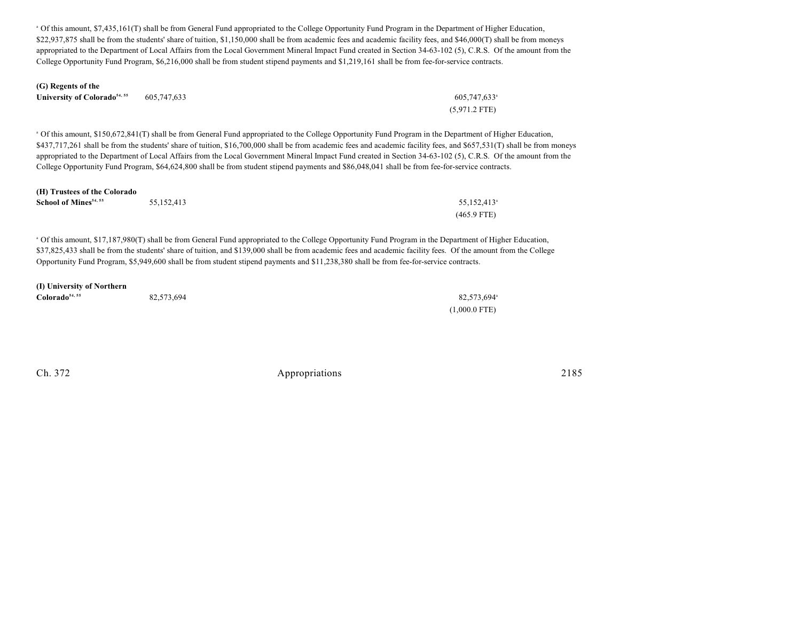<sup>a</sup> Of this amount, \$7,435,161(T) shall be from General Fund appropriated to the College Opportunity Fund Program in the Department of Higher Education, \$22,937,875 shall be from the students' share of tuition, \$1,150,000 shall be from academic fees and academic facility fees, and \$46,000(T) shall be from moneys appropriated to the Department of Local Affairs from the Local Government Mineral Impact Fund created in Section 34-63-102 (5), C.R.S. Of the amount from the College Opportunity Fund Program, \$6,216,000 shall be from student stipend payments and \$1,219,161 shall be from fee-for-service contracts.

| (G) Regents of the                      |     |
|-----------------------------------------|-----|
| University of Colorado <sup>54,55</sup> | 605 |

| University of Colorado <sup>54, 55</sup> | 605,747,633 | $605,747,633$ <sup>a</sup> |
|------------------------------------------|-------------|----------------------------|
|                                          |             | $(5.971.2$ FTE)            |

 Of this amount, \$150,672,841(T) shall be from General Fund appropriated to the College Opportunity Fund Program in the Department of Higher Education, <sup>a</sup> \$437,717,261 shall be from the students' share of tuition, \$16,700,000 shall be from academic fees and academic facility fees, and \$657,531(T) shall be from moneys appropriated to the Department of Local Affairs from the Local Government Mineral Impact Fund created in Section 34-63-102 (5), C.R.S. Of the amount from the College Opportunity Fund Program, \$64,624,800 shall be from student stipend payments and \$86,048,041 shall be from fee-for-service contracts.

| (H) Trustees of the Colorado      |            |                         |
|-----------------------------------|------------|-------------------------|
| School of Mines <sup>54, 55</sup> | 55.152.413 | 55.152.413 <sup>a</sup> |
|                                   |            | $(465.9$ FTE)           |

 Of this amount, \$17,187,980(T) shall be from General Fund appropriated to the College Opportunity Fund Program in the Department of Higher Education, <sup>a</sup> \$37,825,433 shall be from the students' share of tuition, and \$139,000 shall be from academic fees and academic facility fees. Of the amount from the College Opportunity Fund Program, \$5,949,600 shall be from student stipend payments and \$11,238,380 shall be from fee-for-service contracts.

### **(I) University of Northern**

| Colorado <sup>54, 55</sup> | 82,573,694 | 82,573,694      |
|----------------------------|------------|-----------------|
|                            |            | $(1,000.0$ FTE) |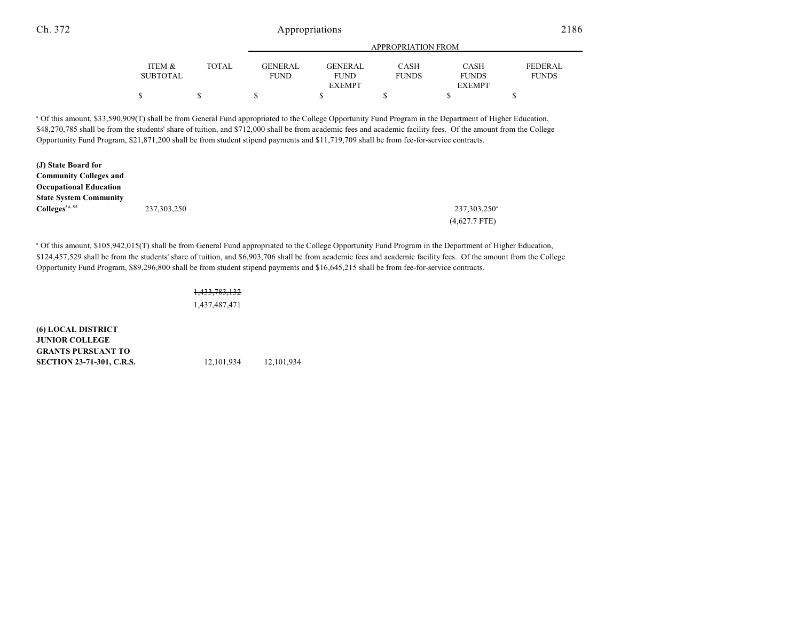|                 |        |                |               | APPROPRIATION FROM |               |                |
|-----------------|--------|----------------|---------------|--------------------|---------------|----------------|
| ITEM &          | TOTAL. | <b>GENERAL</b> | GENERAL       | CASH               | <b>CASH</b>   | <b>FEDERAL</b> |
| <b>SUBTOTAL</b> |        | <b>FUND</b>    | <b>FUND</b>   | <b>FUNDS</b>       | <b>FUNDS</b>  | <b>FUNDS</b>   |
|                 |        |                | <b>EXEMPT</b> |                    | <b>EXEMPT</b> |                |
| Φ.              |        |                |               |                    |               |                |

 Of this amount, \$33,590,909(T) shall be from General Fund appropriated to the College Opportunity Fund Program in the Department of Higher Education, <sup>a</sup> \$48,270,785 shall be from the students' share of tuition, and \$712,000 shall be from academic fees and academic facility fees. Of the amount from the College Opportunity Fund Program, \$21,871,200 shall be from student stipend payments and \$11,719,709 shall be from fee-for-service contracts.

| (J) State Board for           |               |                          |
|-------------------------------|---------------|--------------------------|
| <b>Community Colleges and</b> |               |                          |
| <b>Occupational Education</b> |               |                          |
| <b>State System Community</b> |               |                          |
| Colleges <sup>54, 55</sup>    | 237, 303, 250 | 237,303,250 <sup>a</sup> |
|                               |               | $(4,627.7$ FTE)          |

 Of this amount, \$105,942,015(T) shall be from General Fund appropriated to the College Opportunity Fund Program in the Department of Higher Education, <sup>a</sup> \$124,457,529 shall be from the students' share of tuition, and \$6,903,706 shall be from academic fees and academic facility fees. Of the amount from the College Opportunity Fund Program, \$89,296,800 shall be from student stipend payments and \$16,645,215 shall be from fee-for-service contracts.

#### 1,433,783,132

1,437,487,471

**(6) LOCAL DISTRICT JUNIOR COLLEGE GRANTS PURSUANT TO SECTION 23-71-301, C.R.S.** 12,101,934 12,101,934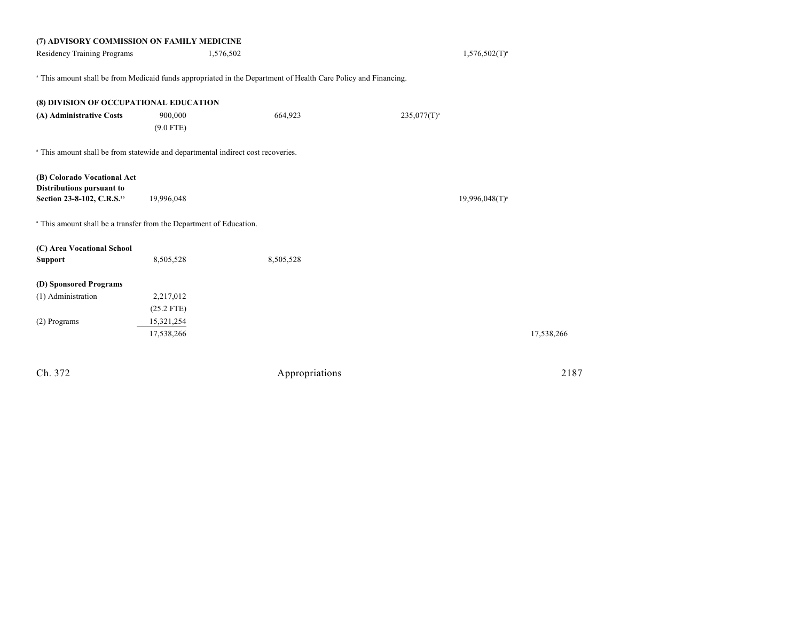| (7) ADVISORY COMMISSION ON FAMILY MEDICINE                                                  |              |                                                                                                                |                  |                     |
|---------------------------------------------------------------------------------------------|--------------|----------------------------------------------------------------------------------------------------------------|------------------|---------------------|
| Residency Training Programs                                                                 |              | 1,576,502                                                                                                      |                  | $1,576,502(T)^{a}$  |
|                                                                                             |              |                                                                                                                |                  |                     |
|                                                                                             |              | a This amount shall be from Medicaid funds appropriated in the Department of Health Care Policy and Financing. |                  |                     |
|                                                                                             |              |                                                                                                                |                  |                     |
| (8) DIVISION OF OCCUPATIONAL EDUCATION                                                      |              |                                                                                                                |                  |                     |
| (A) Administrative Costs                                                                    | 900,000      | 664,923                                                                                                        | $235,077(T)^{a}$ |                     |
|                                                                                             | $(9.0$ FTE)  |                                                                                                                |                  |                     |
| <sup>a</sup> This amount shall be from statewide and departmental indirect cost recoveries. |              |                                                                                                                |                  |                     |
|                                                                                             |              |                                                                                                                |                  |                     |
| (B) Colorado Vocational Act                                                                 |              |                                                                                                                |                  |                     |
| Distributions pursuant to                                                                   |              |                                                                                                                |                  |                     |
| Section 23-8-102, C.R.S. <sup>15</sup>                                                      | 19,996,048   |                                                                                                                |                  | $19,996,048(T)^{3}$ |
| <sup>a</sup> This amount shall be a transfer from the Department of Education.              |              |                                                                                                                |                  |                     |
|                                                                                             |              |                                                                                                                |                  |                     |
| (C) Area Vocational School                                                                  |              |                                                                                                                |                  |                     |
| <b>Support</b>                                                                              | 8,505,528    | 8,505,528                                                                                                      |                  |                     |
| (D) Sponsored Programs                                                                      |              |                                                                                                                |                  |                     |
| (1) Administration                                                                          | 2,217,012    |                                                                                                                |                  |                     |
|                                                                                             |              |                                                                                                                |                  |                     |
|                                                                                             | $(25.2$ FTE) |                                                                                                                |                  |                     |
| (2) Programs                                                                                | 15,321,254   |                                                                                                                |                  |                     |
|                                                                                             | 17,538,266   |                                                                                                                |                  | 17,538,266          |
|                                                                                             |              |                                                                                                                |                  |                     |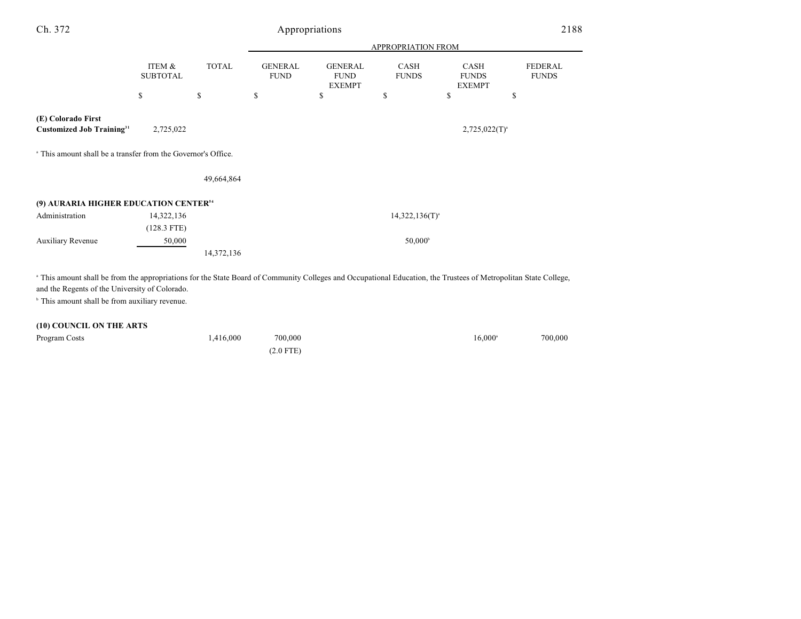| Ch. 372                                                                                                                                                                                                            |                           |              |                               | Appropriations                                 |                             |                                              | 2188                           |
|--------------------------------------------------------------------------------------------------------------------------------------------------------------------------------------------------------------------|---------------------------|--------------|-------------------------------|------------------------------------------------|-----------------------------|----------------------------------------------|--------------------------------|
|                                                                                                                                                                                                                    |                           |              |                               |                                                |                             |                                              |                                |
|                                                                                                                                                                                                                    | ITEM &<br><b>SUBTOTAL</b> | <b>TOTAL</b> | <b>GENERAL</b><br><b>FUND</b> | <b>GENERAL</b><br><b>FUND</b><br><b>EXEMPT</b> | <b>CASH</b><br><b>FUNDS</b> | <b>CASH</b><br><b>FUNDS</b><br><b>EXEMPT</b> | <b>FEDERAL</b><br><b>FUNDS</b> |
|                                                                                                                                                                                                                    | \$                        | \$           | \$                            | \$                                             | \$                          | \$                                           | \$                             |
| (E) Colorado First<br><b>Customized Job Training</b> <sup>31</sup>                                                                                                                                                 | 2,725,022                 |              |                               |                                                |                             | $2,725,022(T)^{a}$                           |                                |
| <sup>a</sup> This amount shall be a transfer from the Governor's Office.                                                                                                                                           |                           |              |                               |                                                |                             |                                              |                                |
|                                                                                                                                                                                                                    |                           | 49,664,864   |                               |                                                |                             |                                              |                                |
| (9) AURARIA HIGHER EDUCATION CENTER <sup>54</sup>                                                                                                                                                                  |                           |              |                               |                                                |                             |                                              |                                |
| Administration                                                                                                                                                                                                     | 14,322,136                |              |                               |                                                | $14,322,136(T)^{a}$         |                                              |                                |
|                                                                                                                                                                                                                    | $(128.3$ FTE)             |              |                               |                                                |                             |                                              |                                |
| <b>Auxiliary Revenue</b>                                                                                                                                                                                           | 50,000                    |              |                               |                                                | 50,000 <sup>b</sup>         |                                              |                                |
|                                                                                                                                                                                                                    |                           | 14,372,136   |                               |                                                |                             |                                              |                                |
| a This amount shall be from the appropriations for the State Board of Community Colleges and Occupational Education, the Trustees of Metropolitan State College,<br>and the Regents of the University of Colorado. |                           |              |                               |                                                |                             |                                              |                                |
| <sup>b</sup> This amount shall be from auxiliary revenue.                                                                                                                                                          |                           |              |                               |                                                |                             |                                              |                                |
| (10) COUNCIL ON THE ARTS                                                                                                                                                                                           |                           |              |                               |                                                |                             |                                              |                                |
| Program Costs                                                                                                                                                                                                      |                           | 1,416,000    | 700,000                       |                                                |                             | $16,000^{\circ}$                             | 700,000                        |

(2.0 FTE)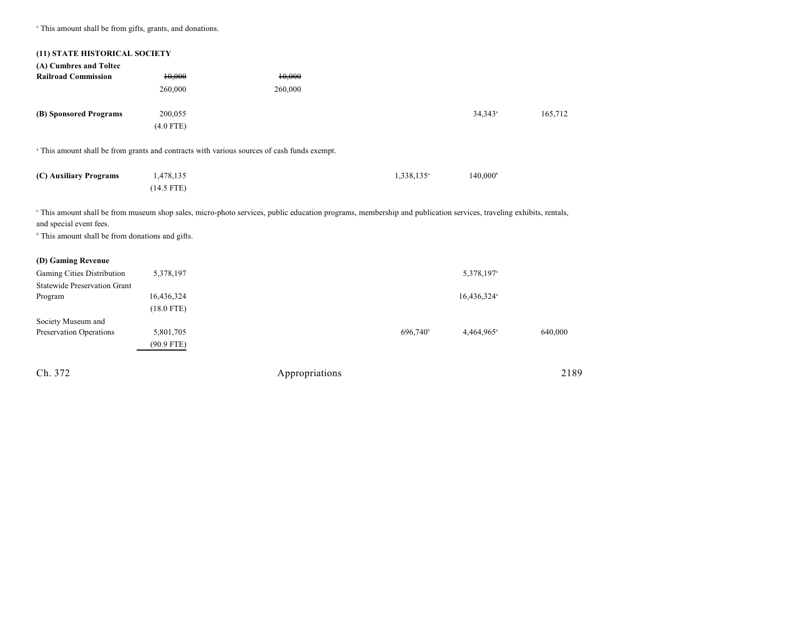<sup>a</sup> This amount shall be from gifts, grants, and donations.

| (11) STATE HISTORICAL SOCIETY                               |              |                                                                                                                                                                              |                        |                         |         |
|-------------------------------------------------------------|--------------|------------------------------------------------------------------------------------------------------------------------------------------------------------------------------|------------------------|-------------------------|---------|
| (A) Cumbres and Toltec                                      |              |                                                                                                                                                                              |                        |                         |         |
| <b>Railroad Commission</b>                                  | 10,000       | 10,000                                                                                                                                                                       |                        |                         |         |
|                                                             | 260,000      | 260,000                                                                                                                                                                      |                        |                         |         |
| (B) Sponsored Programs                                      | 200,055      |                                                                                                                                                                              |                        | $34,343$ <sup>a</sup>   | 165,712 |
|                                                             | $(4.0$ FTE)  |                                                                                                                                                                              |                        |                         |         |
|                                                             |              | a This amount shall be from grants and contracts with various sources of cash funds exempt.                                                                                  |                        |                         |         |
| (C) Auxiliary Programs                                      | 1,478,135    |                                                                                                                                                                              | 1,338,135 <sup>a</sup> | $140,000^{\circ}$       |         |
|                                                             | $(14.5$ FTE) |                                                                                                                                                                              |                        |                         |         |
| and special event fees.                                     |              | <sup>a</sup> This amount shall be from museum shop sales, micro-photo services, public education programs, membership and publication services, traveling exhibits, rentals, |                        |                         |         |
| <sup>b</sup> This amount shall be from donations and gifts. |              |                                                                                                                                                                              |                        |                         |         |
| (D) Gaming Revenue                                          |              |                                                                                                                                                                              |                        |                         |         |
| Gaming Cities Distribution                                  | 5,378,197    |                                                                                                                                                                              |                        | 5,378,197 <sup>a</sup>  |         |
| <b>Statewide Preservation Grant</b>                         |              |                                                                                                                                                                              |                        |                         |         |
| Program                                                     | 16,436,324   |                                                                                                                                                                              |                        | 16,436,324 <sup>a</sup> |         |
|                                                             | $(18.0$ FTE) |                                                                                                                                                                              |                        |                         |         |
| Society Museum and                                          |              |                                                                                                                                                                              |                        |                         |         |
| Preservation Operations                                     | 5,801,705    |                                                                                                                                                                              | 696,740 <sup>b</sup>   | 4,464,965 <sup>a</sup>  | 640,000 |
|                                                             | $(90.9$ FTE) |                                                                                                                                                                              |                        |                         |         |
| Ch. 372                                                     |              | Appropriations                                                                                                                                                               |                        |                         | 2189    |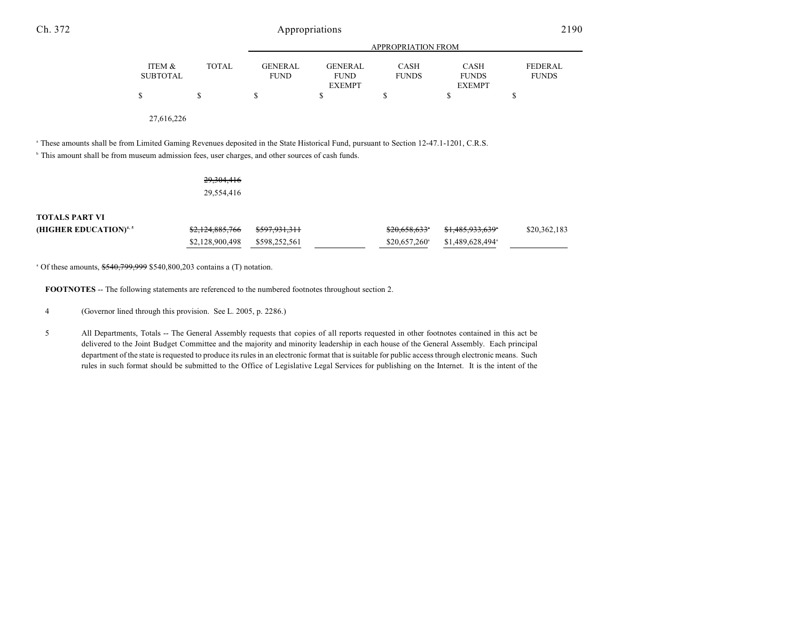|                 |              | APPROPRIATION FROM |                |              |               |                |
|-----------------|--------------|--------------------|----------------|--------------|---------------|----------------|
| ITEM &          | <b>TOTAL</b> | <b>GENERAL</b>     | <b>GENERAL</b> | <b>CASH</b>  | <b>CASH</b>   | <b>FEDERAL</b> |
| <b>SUBTOTAL</b> |              | <b>FUND</b>        | <b>FUND</b>    | <b>FUNDS</b> | <b>FUNDS</b>  | <b>FUNDS</b>   |
|                 |              |                    | <b>EXEMPT</b>  |              | <b>EXEMPT</b> |                |
| \$              | S            | S                  |                |              |               |                |
|                 |              |                    |                |              |               |                |

27,616,226

<sup>a</sup> These amounts shall be from Limited Gaming Revenues deposited in the State Historical Fund, pursuant to Section 12-47.1-1201, C.R.S.

<sup>b</sup> This amount shall be from museum admission fees, user charges, and other sources of cash funds.

29,304,416 29,554,416

**TOTALS PART VI**

| (HIGHER EDUCATION) <sup>4, 5</sup> | <del>\$2,124,885,766</del>    | <del>\$597,931,311</del> | <del>\$20,658,633</del> * | <del>\$1,485,933,639</del> *                             | \$20,362,183 |
|------------------------------------|-------------------------------|--------------------------|---------------------------|----------------------------------------------------------|--------------|
|                                    | \$2,128,900,498 \$598,252,561 |                          |                           | $$20.657.260$ <sup>a</sup> $$1.489.628.494$ <sup>a</sup> |              |

 $^{\circ}$  Of these amounts,  $$540,799,999$  \$540,800,203 contains a (T) notation.

**FOOTNOTES** -- The following statements are referenced to the numbered footnotes throughout section 2.

4 (Governor lined through this provision. See L. 2005, p. 2286.)

5 All Departments, Totals -- The General Assembly requests that copies of all reports requested in other footnotes contained in this act be delivered to the Joint Budget Committee and the majority and minority leadership in each house of the General Assembly. Each principal department of the state is requested to produce its rules in an electronic format that is suitable for public access through electronic means. Such rules in such format should be submitted to the Office of Legislative Legal Services for publishing on the Internet. It is the intent of the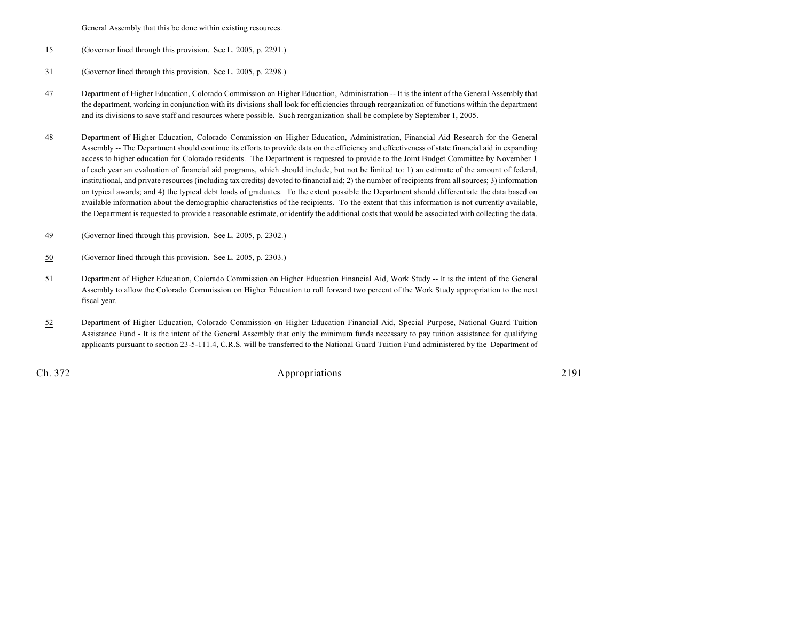General Assembly that this be done within existing resources.

- 15 (Governor lined through this provision. See L. 2005, p. 2291.)
- 31 (Governor lined through this provision. See L. 2005, p. 2298.)
- 47 Department of Higher Education, Colorado Commission on Higher Education, Administration -- It is the intent of the General Assembly that the department, working in conjunction with its divisionsshall look for efficiencies through reorganization of functions within the department and its divisions to save staff and resources where possible. Such reorganization shall be complete by September 1, 2005.
- 48 Department of Higher Education, Colorado Commission on Higher Education, Administration, Financial Aid Research for the General Assembly -- The Department should continue its efforts to provide data on the efficiency and effectiveness of state financial aid in expanding access to higher education for Colorado residents. The Department is requested to provide to the Joint Budget Committee by November 1 of each year an evaluation of financial aid programs, which should include, but not be limited to: 1) an estimate of the amount of federal, institutional, and private resources (including tax credits) devoted to financial aid; 2) the number of recipients from all sources; 3) information on typical awards; and 4) the typical debt loads of graduates. To the extent possible the Department should differentiate the data based on available information about the demographic characteristics of the recipients. To the extent that this information is not currently available, the Department is requested to provide a reasonable estimate, or identify the additional costs that would be associated with collecting the data.
- 49 (Governor lined through this provision. See L. 2005, p. 2302.)
- 50 (Governor lined through this provision. See L. 2005, p. 2303.)
- 51 Department of Higher Education, Colorado Commission on Higher Education Financial Aid, Work Study -- It is the intent of the General Assembly to allow the Colorado Commission on Higher Education to roll forward two percent of the Work Study appropriation to the next fiscal year.
- 52 Department of Higher Education, Colorado Commission on Higher Education Financial Aid, Special Purpose, National Guard Tuition Assistance Fund - It is the intent of the General Assembly that only the minimum funds necessary to pay tuition assistance for qualifying applicants pursuant to section 23-5-111.4, C.R.S. will be transferred to the National Guard Tuition Fund administered by the Department of